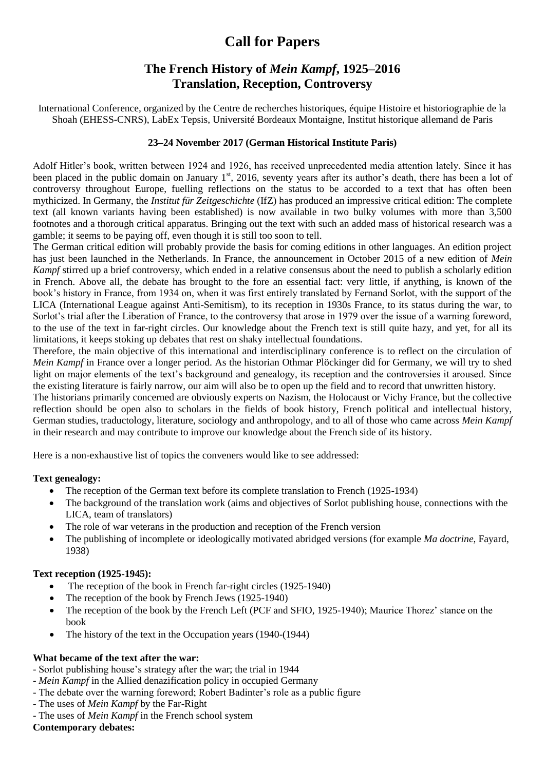# **Call for Papers**

## **The French History of** *Mein Kampf***, 1925–2016 Translation, Reception, Controversy**

International Conference, organized by the Centre de recherches historiques, équipe Histoire et historiographie de la Shoah (EHESS-CNRS), LabEx Tepsis, Université Bordeaux Montaigne, Institut historique allemand de Paris

### **23–24 November 2017 (German Historical Institute Paris)**

Adolf Hitler's book, written between 1924 and 1926, has received unprecedented media attention lately. Since it has been placed in the public domain on January 1<sup>st</sup>, 2016, seventy years after its author's death, there has been a lot of controversy throughout Europe, fuelling reflections on the status to be accorded to a text that has often been mythicized. In Germany, the *Institut für Zeitgeschichte* (IfZ) has produced an impressive critical edition: The complete text (all known variants having been established) is now available in two bulky volumes with more than 3,500 footnotes and a thorough critical apparatus. Bringing out the text with such an added mass of historical research was a gamble; it seems to be paying off, even though it is still too soon to tell.

The German critical edition will probably provide the basis for coming editions in other languages. An edition project has just been launched in the Netherlands. In France, the announcement in October 2015 of a new edition of *Mein Kampf* stirred up a brief controversy, which ended in a relative consensus about the need to publish a scholarly edition in French. Above all, the debate has brought to the fore an essential fact: very little, if anything, is known of the book's history in France, from 1934 on, when it was first entirely translated by Fernand Sorlot, with the support of the LICA (International League against Anti-Semitism), to its reception in 1930s France, to its status during the war, to Sorlot's trial after the Liberation of France, to the controversy that arose in 1979 over the issue of a warning foreword, to the use of the text in far-right circles. Our knowledge about the French text is still quite hazy, and yet, for all its limitations, it keeps stoking up debates that rest on shaky intellectual foundations.

Therefore, the main objective of this international and interdisciplinary conference is to reflect on the circulation of *Mein Kampf* in France over a longer period. As the historian Othmar Plöckinger did for Germany, we will try to shed light on major elements of the text's background and genealogy, its reception and the controversies it aroused. Since the existing literature is fairly narrow, our aim will also be to open up the field and to record that unwritten history.

The historians primarily concerned are obviously experts on Nazism, the Holocaust or Vichy France, but the collective reflection should be open also to scholars in the fields of book history, French political and intellectual history, German studies, traductology, literature, sociology and anthropology, and to all of those who came across *Mein Kampf* in their research and may contribute to improve our knowledge about the French side of its history.

Here is a non-exhaustive list of topics the conveners would like to see addressed:

### **Text genealogy:**

- The reception of the German text before its complete translation to French (1925-1934)
- The background of the translation work (aims and objectives of Sorlot publishing house, connections with the LICA, team of translators)
- The role of war veterans in the production and reception of the French version
- The publishing of incomplete or ideologically motivated abridged versions (for example *Ma doctrine*, Fayard, 1938)

### **Text reception (1925-1945):**

- The reception of the book in French far-right circles (1925-1940)
- The reception of the book by French Jews (1925-1940)
- The reception of the book by the French Left (PCF and SFIO, 1925-1940); Maurice Thorez' stance on the book
- The history of the text in the Occupation years (1940-(1944)

### **What became of the text after the war:**

- Sorlot publishing house's strategy after the war; the trial in 1944
- *Mein Kampf* in the Allied denazification policy in occupied Germany
- The debate over the warning foreword; Robert Badinter's role as a public figure
- The uses of *Mein Kampf* by the Far-Right
- The uses of *Mein Kampf* in the French school system

### **Contemporary debates:**